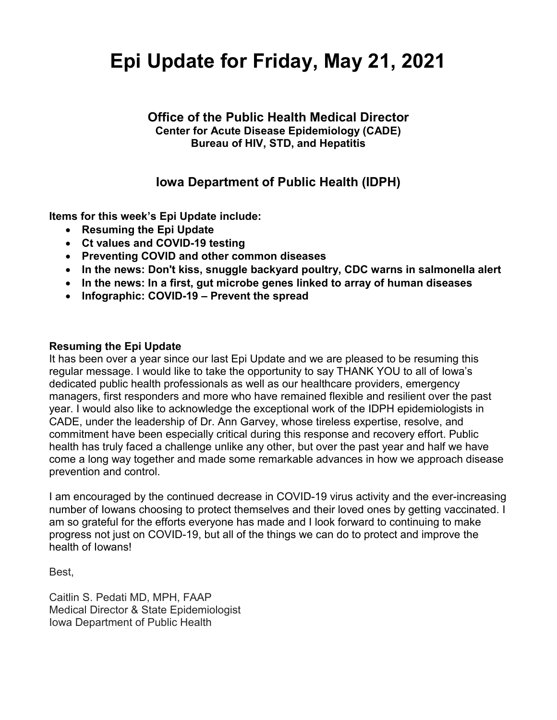# **Epi Update for Friday, May 21, 2021**

### **Office of the Public Health Medical Director Center for Acute Disease Epidemiology (CADE) Bureau of HIV, STD, and Hepatitis**

# **Iowa Department of Public Health (IDPH)**

**Items for this week's Epi Update include:**

- **Resuming the Epi Update**
- **Ct values and COVID-19 testing**
- **Preventing COVID and other common diseases**
- **In the news: Don't kiss, snuggle backyard poultry, CDC warns in salmonella alert**
- **In the news: In a first, gut microbe genes linked to array of human diseases**
- **Infographic: COVID-19 – Prevent the spread**

#### **Resuming the Epi Update**

It has been over a year since our last Epi Update and we are pleased to be resuming this regular message. I would like to take the opportunity to say THANK YOU to all of Iowa's dedicated public health professionals as well as our healthcare providers, emergency managers, first responders and more who have remained flexible and resilient over the past year. I would also like to acknowledge the exceptional work of the IDPH epidemiologists in CADE, under the leadership of Dr. Ann Garvey, whose tireless expertise, resolve, and commitment have been especially critical during this response and recovery effort. Public health has truly faced a challenge unlike any other, but over the past year and half we have come a long way together and made some remarkable advances in how we approach disease prevention and control.

I am encouraged by the continued decrease in COVID-19 virus activity and the ever-increasing number of Iowans choosing to protect themselves and their loved ones by getting vaccinated. I am so grateful for the efforts everyone has made and I look forward to continuing to make progress not just on COVID-19, but all of the things we can do to protect and improve the health of Iowans!

Best,

Caitlin S. Pedati MD, MPH, FAAP Medical Director & State Epidemiologist Iowa Department of Public Health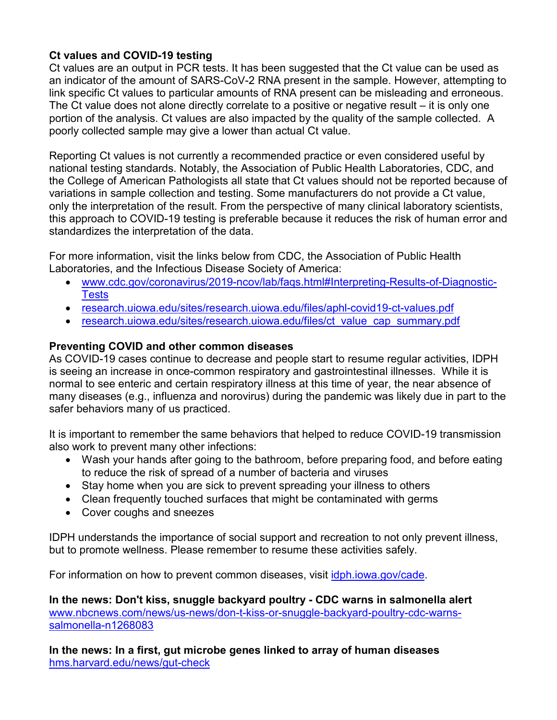# **Ct values and COVID-19 testing**

Ct values are an output in PCR tests. It has been suggested that the Ct value can be used as an indicator of the amount of SARS-CoV-2 RNA present in the sample. However, attempting to link specific Ct values to particular amounts of RNA present can be misleading and erroneous. The Ct value does not alone directly correlate to a positive or negative result – it is only one portion of the analysis. Ct values are also impacted by the quality of the sample collected. A poorly collected sample may give a lower than actual Ct value.

Reporting Ct values is not currently a recommended practice or even considered useful by national testing standards. Notably, the Association of Public Health Laboratories, CDC, and the College of American Pathologists all state that Ct values should not be reported because of variations in sample collection and testing. Some manufacturers do not provide a Ct value, only the interpretation of the result. From the perspective of many clinical laboratory scientists, this approach to COVID-19 testing is preferable because it reduces the risk of human error and standardizes the interpretation of the data.

For more information, visit the links below from CDC, the Association of Public Health Laboratories, and the Infectious Disease Society of America:

- [www.cdc.gov/coronavirus/2019-ncov/lab/faqs.html#Interpreting-Results-of-Diagnostic-](http://www.cdc.gov/coronavirus/2019-ncov/lab/faqs.html#Interpreting-Results-of-Diagnostic-Tests)**[Tests](http://www.cdc.gov/coronavirus/2019-ncov/lab/faqs.html#Interpreting-Results-of-Diagnostic-Tests)**
- [research.uiowa.edu/sites/research.uiowa.edu/files/aphl-covid19-ct-values.pdf](http://research.uiowa.edu/sites/research.uiowa.edu/files/aphl-covid19-ct-values.pdf)
- [research.uiowa.edu/sites/research.uiowa.edu/files/ct\\_value\\_cap\\_summary.pdf](https://research.uiowa.edu/sites/research.uiowa.edu/files/ct_value_cap_summary.pdf)

# **Preventing COVID and other common diseases**

As COVID-19 cases continue to decrease and people start to resume regular activities, IDPH is seeing an increase in once-common respiratory and gastrointestinal illnesses. While it is normal to see enteric and certain respiratory illness at this time of year, the near absence of many diseases (e.g., influenza and norovirus) during the pandemic was likely due in part to the safer behaviors many of us practiced.

It is important to remember the same behaviors that helped to reduce COVID-19 transmission also work to prevent many other infections:

- Wash your hands after going to the bathroom, before preparing food, and before eating to reduce the risk of spread of a number of bacteria and viruses
- Stay home when you are sick to prevent spreading your illness to others
- Clean frequently touched surfaces that might be contaminated with germs
- Cover coughs and sneezes

IDPH understands the importance of social support and recreation to not only prevent illness, but to promote wellness. Please remember to resume these activities safely.

For information on how to prevent common diseases, visit [idph.iowa.gov/cade.](https://idph.iowa.gov/cade)

**In the news: Don't kiss, snuggle backyard poultry - CDC warns in salmonella alert** [www.nbcnews.com/news/us-news/don-t-kiss-or-snuggle-backyard-poultry-cdc-warns](http://www.nbcnews.com/news/us-news/don-t-kiss-or-snuggle-backyard-poultry-cdc-warns-salmonella-n1268083)[salmonella-n1268083](http://www.nbcnews.com/news/us-news/don-t-kiss-or-snuggle-backyard-poultry-cdc-warns-salmonella-n1268083)

**In the news: In a first, gut microbe genes linked to array of human diseases** [hms.harvard.edu/news/gut-check](https://hms.harvard.edu/news/gut-check)